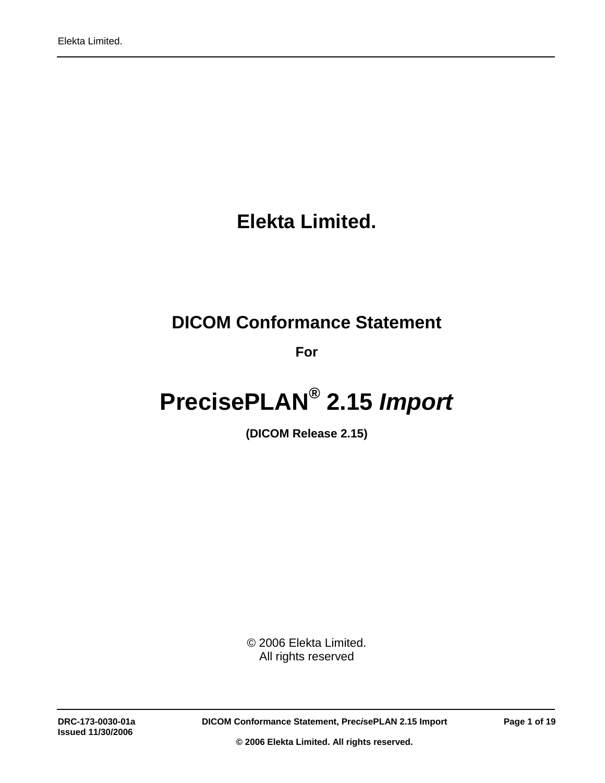# **Elekta Limited.**

# **DICOM Conformance Statement**

**For** 

# **PrecisePLAN® 2.15** *Import*

**(DICOM Release 2.15)** 

© 2006 Elekta Limited. All rights reserved

**DRC-173-0030-01a DICOM Conformance Statement, Prec***i***sePLAN 2.15 Import Page 1 of 19**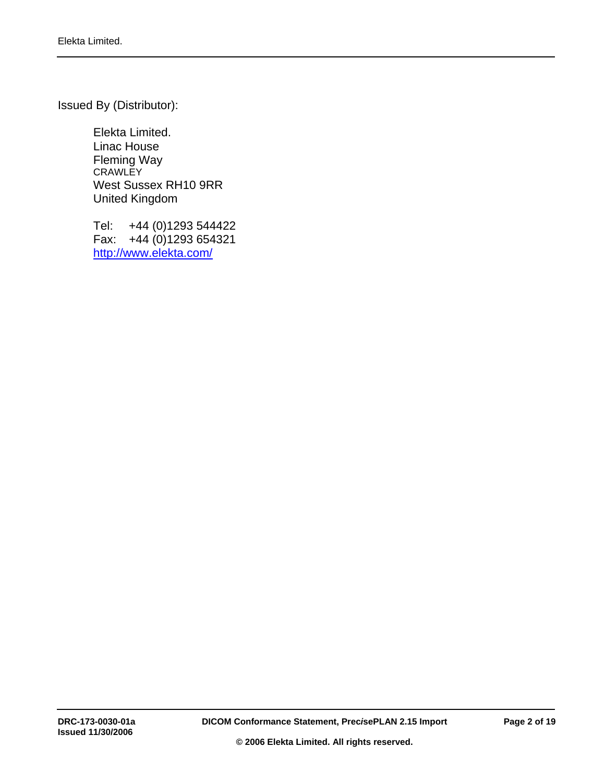Issued By (Distributor):

 Elekta Limited. Linac House Fleming Way **CRAWLEY**  West Sussex RH10 9RR United Kingdom

 Tel: +44 (0)1293 544422 Fax: +44 (0)1293 654321 <http://www.elekta.com/>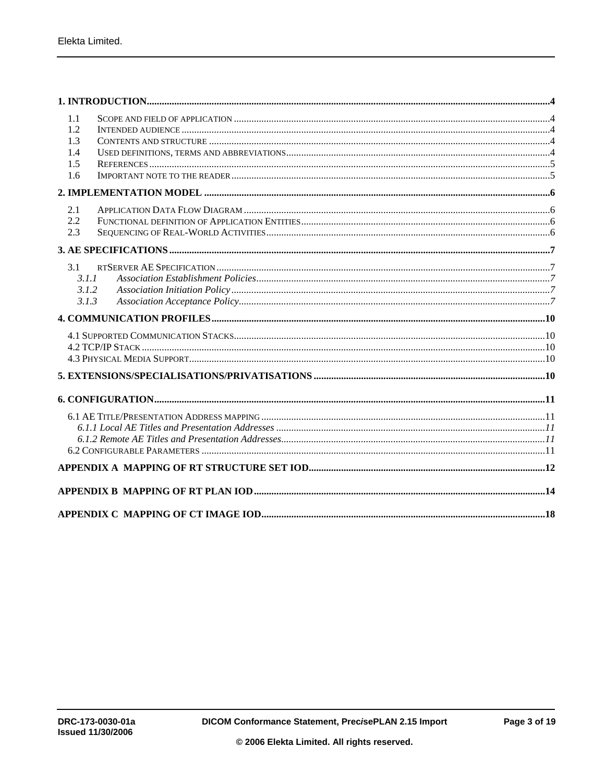| 1.1 |       |  |
|-----|-------|--|
| 1.2 |       |  |
| 1.3 |       |  |
| 1.4 |       |  |
| 1.5 |       |  |
| 1.6 |       |  |
|     |       |  |
| 2.1 |       |  |
| 2.2 |       |  |
| 2.3 |       |  |
|     |       |  |
| 3.1 |       |  |
|     | 3.1.1 |  |
|     | 3.1.2 |  |
|     | 3.1.3 |  |
|     |       |  |
|     |       |  |
|     |       |  |
|     |       |  |
|     |       |  |
|     |       |  |
|     |       |  |
|     |       |  |
|     |       |  |
|     |       |  |
|     |       |  |
|     |       |  |
|     |       |  |
|     |       |  |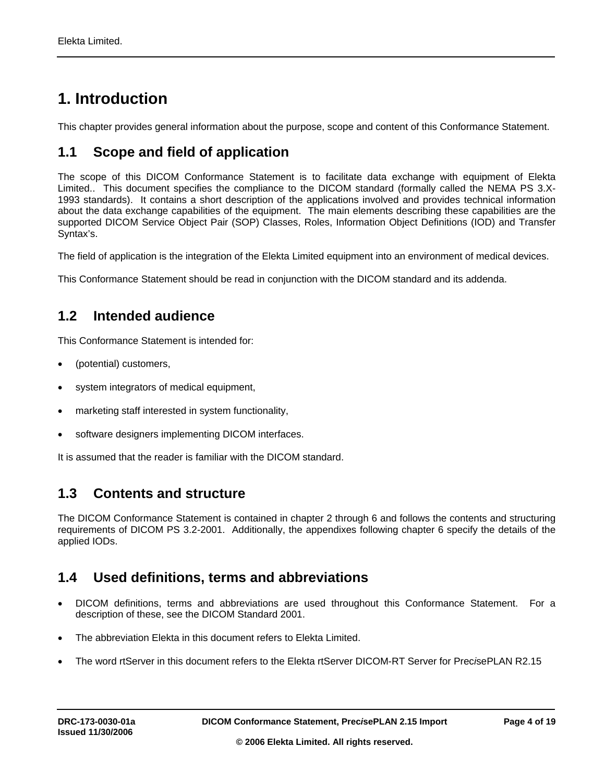# <span id="page-3-0"></span>**1. Introduction**

This chapter provides general information about the purpose, scope and content of this Conformance Statement.

### **1.1 Scope and field of application**

The scope of this DICOM Conformance Statement is to facilitate data exchange with equipment of Elekta Limited.. This document specifies the compliance to the DICOM standard (formally called the NEMA PS 3.X-1993 standards). It contains a short description of the applications involved and provides technical information about the data exchange capabilities of the equipment. The main elements describing these capabilities are the supported DICOM Service Object Pair (SOP) Classes, Roles, Information Object Definitions (IOD) and Transfer Syntax's.

The field of application is the integration of the Elekta Limited equipment into an environment of medical devices.

This Conformance Statement should be read in conjunction with the DICOM standard and its addenda.

### **1.2 Intended audience**

This Conformance Statement is intended for:

- (potential) customers,
- system integrators of medical equipment,
- marketing staff interested in system functionality,
- software designers implementing DICOM interfaces.

It is assumed that the reader is familiar with the DICOM standard.

### **1.3 Contents and structure**

The DICOM Conformance Statement is contained in chapter 2 through 6 and follows the contents and structuring requirements of DICOM PS 3.2-2001. Additionally, the appendixes following chapter 6 specify the details of the applied IODs.

### **1.4 Used definitions, terms and abbreviations**

- DICOM definitions, terms and abbreviations are used throughout this Conformance Statement. For a description of these, see the DICOM Standard 2001.
- The abbreviation Elekta in this document refers to Elekta Limited.
- The word rtServer in this document refers to the Elekta rtServer DICOM-RT Server for Prec*i*sePLAN R2.15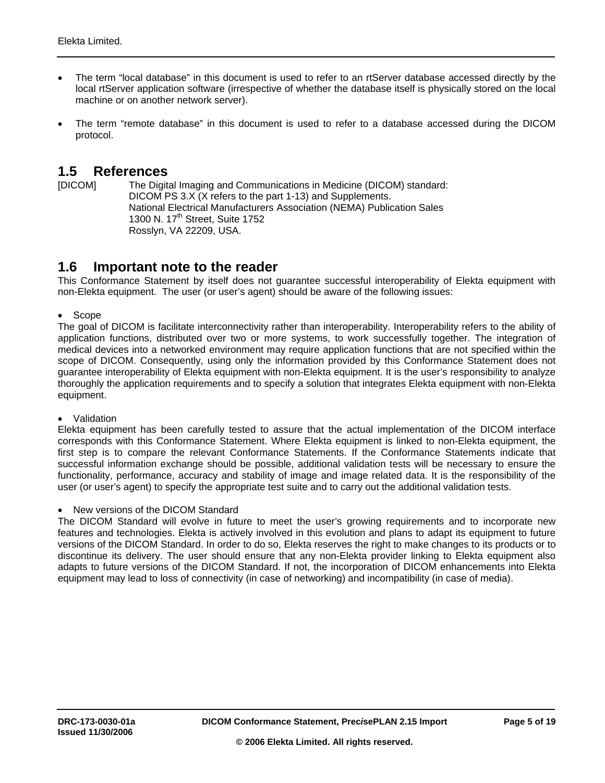- <span id="page-4-0"></span>• The term "local database" in this document is used to refer to an rtServer database accessed directly by the local rtServer application software (irrespective of whether the database itself is physically stored on the local machine or on another network server).
- The term "remote database" in this document is used to refer to a database accessed during the DICOM protocol.

# **1.5 References**<br> **IDICOMI** The Digit

The Digital Imaging and Communications in Medicine (DICOM) standard: DICOM PS 3.X (X refers to the part 1-13) and Supplements. National Electrical Manufacturers Association (NEMA) Publication Sales 1300 N. 17<sup>th</sup> Street, Suite 1752 Rosslyn, VA 22209, USA.

### **1.6 Important note to the reader**

This Conformance Statement by itself does not guarantee successful interoperability of Elekta equipment with non-Elekta equipment. The user (or user's agent) should be aware of the following issues:

• Scope

The goal of DICOM is facilitate interconnectivity rather than interoperability. Interoperability refers to the ability of application functions, distributed over two or more systems, to work successfully together. The integration of medical devices into a networked environment may require application functions that are not specified within the scope of DICOM. Consequently, using only the information provided by this Conformance Statement does not guarantee interoperability of Elekta equipment with non-Elekta equipment. It is the user's responsibility to analyze thoroughly the application requirements and to specify a solution that integrates Elekta equipment with non-Elekta equipment.

• Validation

Elekta equipment has been carefully tested to assure that the actual implementation of the DICOM interface corresponds with this Conformance Statement. Where Elekta equipment is linked to non-Elekta equipment, the first step is to compare the relevant Conformance Statements. If the Conformance Statements indicate that successful information exchange should be possible, additional validation tests will be necessary to ensure the functionality, performance, accuracy and stability of image and image related data. It is the responsibility of the user (or user's agent) to specify the appropriate test suite and to carry out the additional validation tests.

• New versions of the DICOM Standard

The DICOM Standard will evolve in future to meet the user's growing requirements and to incorporate new features and technologies. Elekta is actively involved in this evolution and plans to adapt its equipment to future versions of the DICOM Standard. In order to do so, Elekta reserves the right to make changes to its products or to discontinue its delivery. The user should ensure that any non-Elekta provider linking to Elekta equipment also adapts to future versions of the DICOM Standard. If not, the incorporation of DICOM enhancements into Elekta equipment may lead to loss of connectivity (in case of networking) and incompatibility (in case of media).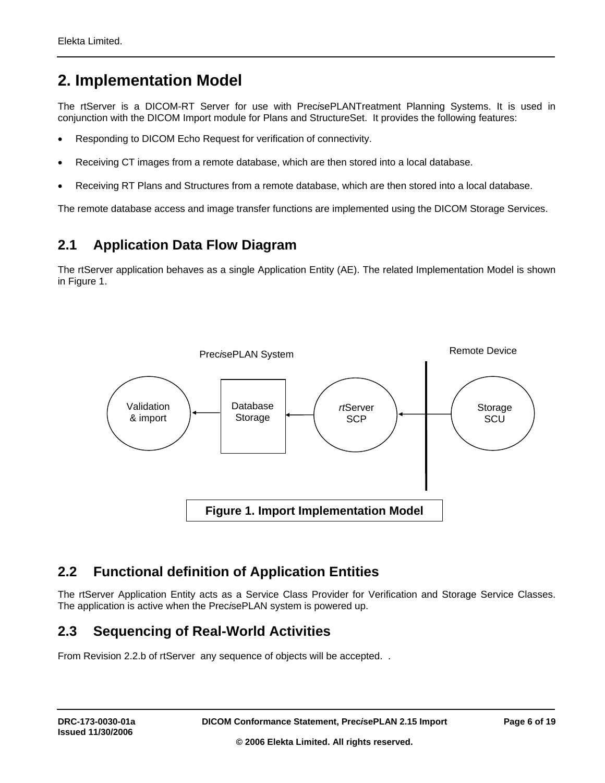# <span id="page-5-0"></span>**2. Implementation Model**

The rtServer is a DICOM-RT Server for use with Prec*i*sePLANTreatment Planning Systems. It is used in conjunction with the DICOM Import module for Plans and StructureSet. It provides the following features:

- Responding to DICOM Echo Request for verification of connectivity.
- Receiving CT images from a remote database, which are then stored into a local database.
- Receiving RT Plans and Structures from a remote database, which are then stored into a local database.

The remote database access and image transfer functions are implemented using the DICOM Storage Services.

### **2.1 Application Data Flow Diagram**

The rtServer application behaves as a single Application Entity (AE). The related Implementation Model is shown in Figure 1.



### **2.2 Functional definition of Application Entities**

The rtServer Application Entity acts as a Service Class Provider for Verification and Storage Service Classes. The application is active when the Prec*i*sePLAN system is powered up.

### **2.3 Sequencing of Real-World Activities**

From Revision 2.2.b of rtServer any sequence of objects will be accepted. .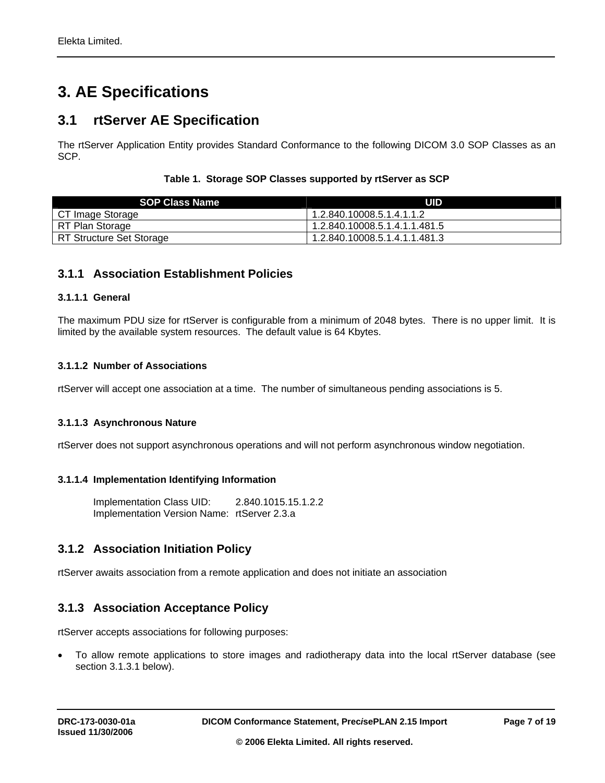# <span id="page-6-0"></span>**3. AE Specifications**

### **3.1 rtServer AE Specification**

The rtServer Application Entity provides Standard Conformance to the following DICOM 3.0 SOP Classes as an SCP.

|  |  | Table 1. Storage SOP Classes supported by rtServer as SCP |
|--|--|-----------------------------------------------------------|
|  |  |                                                           |

| <b>SOP Class Name</b>    | UID                             |
|--------------------------|---------------------------------|
| CT Image Storage         | 1.2.840.10008.5.1.4.1.1.2       |
| RT Plan Storage          | . 1.2.840.10008.5.1.4.1.1.481.5 |
| RT Structure Set Storage | 1.2.840.10008.5.1.4.1.1.481.3   |

### **3.1.1 Association Establishment Policies**

#### **3.1.1.1 General**

The maximum PDU size for rtServer is configurable from a minimum of 2048 bytes. There is no upper limit. It is limited by the available system resources. The default value is 64 Kbytes.

### **3.1.1.2 Number of Associations**

rtServer will accept one association at a time. The number of simultaneous pending associations is 5.

#### **3.1.1.3 Asynchronous Nature**

rtServer does not support asynchronous operations and will not perform asynchronous window negotiation.

### **3.1.1.4 Implementation Identifying Information**

 Implementation Class UID: 2.840.1015.15.1.2.2 Implementation Version Name: rtServer 2.3.a

### **3.1.2 Association Initiation Policy**

rtServer awaits association from a remote application and does not initiate an association

### **3.1.3 Association Acceptance Policy**

rtServer accepts associations for following purposes:

• To allow remote applications to store images and radiotherapy data into the local rtServer database (see section 3.1.3.1 below).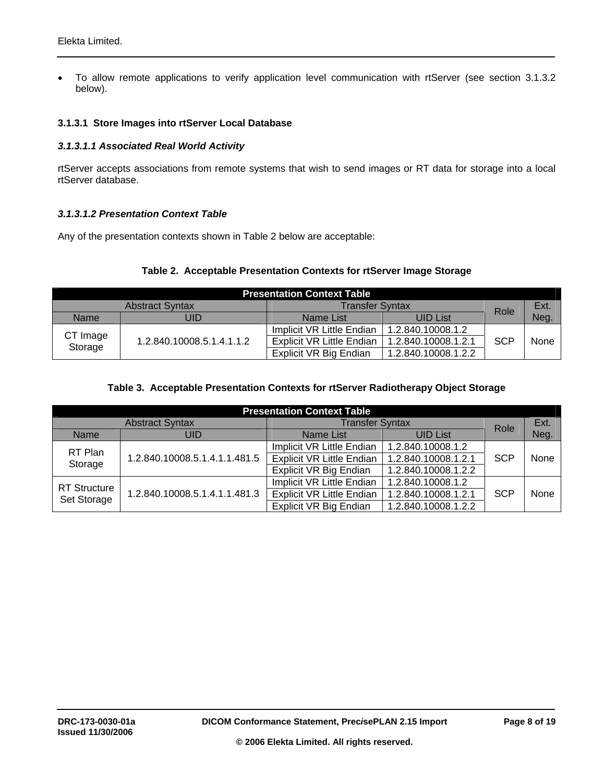• To allow remote applications to verify application level communication with rtServer (see section 3.1.3.2 below).

#### **3.1.3.1 Store Images into rtServer Local Database**

#### *3.1.3.1.1 Associated Real World Activity*

rtServer accepts associations from remote systems that wish to send images or RT data for storage into a local rtServer database.

#### *3.1.3.1.2 Presentation Context Table*

Any of the presentation contexts shown in Table 2 below are acceptable:

#### **Table 2. Acceptable Presentation Contexts for rtServer Image Storage**

| <b>Presentation Context Table</b>                |                           |                           |                     |            |      |  |  |
|--------------------------------------------------|---------------------------|---------------------------|---------------------|------------|------|--|--|
| <b>Abstract Syntax</b><br><b>Transfer Syntax</b> |                           |                           |                     |            |      |  |  |
| <b>Name</b>                                      | UID                       | Name List                 | <b>UID List</b>     | Role       | Neg. |  |  |
|                                                  |                           | Implicit VR Little Endian | 1.2.840.10008.1.2   |            |      |  |  |
| CT Image                                         | 1.2.840.10008.5.1.4.1.1.2 | Explicit VR Little Endian | 1.2.840.10008.1.2.1 | <b>SCP</b> | None |  |  |
| Storage                                          |                           | Explicit VR Big Endian    | 1.2.840.10008.1.2.2 |            |      |  |  |

#### **Table 3. Acceptable Presentation Contexts for rtServer Radiotherapy Object Storage**

| <b>Presentation Context Table</b> |                               |                                  |                     |            |      |  |  |
|-----------------------------------|-------------------------------|----------------------------------|---------------------|------------|------|--|--|
|                                   | <b>Abstract Syntax</b>        | <b>Transfer Syntax</b>           | Role                | Ext.       |      |  |  |
| <b>Name</b>                       | UID                           | <b>UID List</b><br>Name List     |                     | Neg.       |      |  |  |
| RT Plan                           | 1.2.840.10008.5.1.4.1.1.481.5 | Implicit VR Little Endian        | 1.2.840.10008.1.2   |            |      |  |  |
| Storage                           |                               | <b>Explicit VR Little Endian</b> | 1.2.840.10008.1.2.1 | <b>SCP</b> | None |  |  |
|                                   |                               | Explicit VR Big Endian           | 1.2.840.10008.1.2.2 |            |      |  |  |
| <b>RT Structure</b>               |                               | Implicit VR Little Endian        | 1.2.840.10008.1.2   |            |      |  |  |
| Set Storage                       | 1.2.840.10008.5.1.4.1.1.481.3 | <b>Explicit VR Little Endian</b> | 1.2.840.10008.1.2.1 | <b>SCP</b> | None |  |  |
|                                   |                               | Explicit VR Big Endian           | 1.2.840.10008.1.2.2 |            |      |  |  |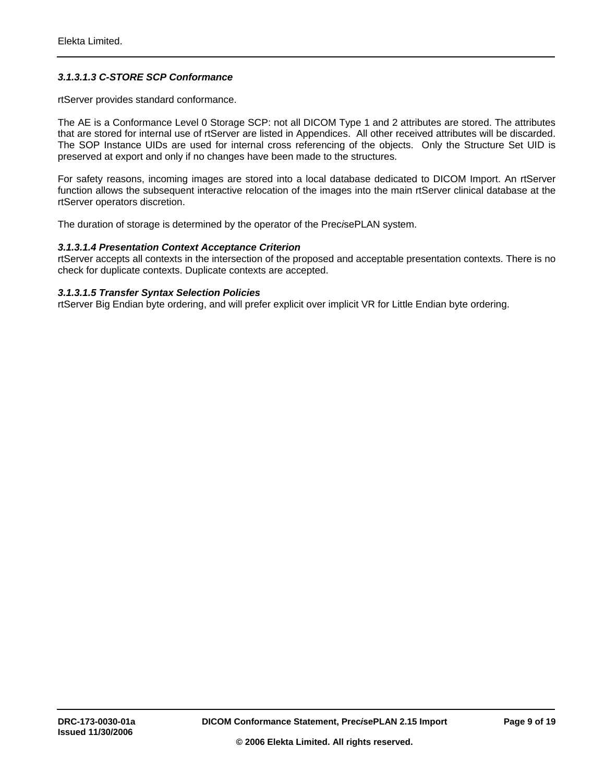### *3.1.3.1.3 C-STORE SCP Conformance*

rtServer provides standard conformance.

The AE is a Conformance Level 0 Storage SCP: not all DICOM Type 1 and 2 attributes are stored. The attributes that are stored for internal use of rtServer are listed in Appendices. All other received attributes will be discarded. The SOP Instance UIDs are used for internal cross referencing of the objects. Only the Structure Set UID is preserved at export and only if no changes have been made to the structures.

For safety reasons, incoming images are stored into a local database dedicated to DICOM Import. An rtServer function allows the subsequent interactive relocation of the images into the main rtServer clinical database at the rtServer operators discretion.

The duration of storage is determined by the operator of the Prec*i*sePLAN system.

#### *3.1.3.1.4 Presentation Context Acceptance Criterion*

rtServer accepts all contexts in the intersection of the proposed and acceptable presentation contexts. There is no check for duplicate contexts. Duplicate contexts are accepted.

### *3.1.3.1.5 Transfer Syntax Selection Policies*

rtServer Big Endian byte ordering, and will prefer explicit over implicit VR for Little Endian byte ordering.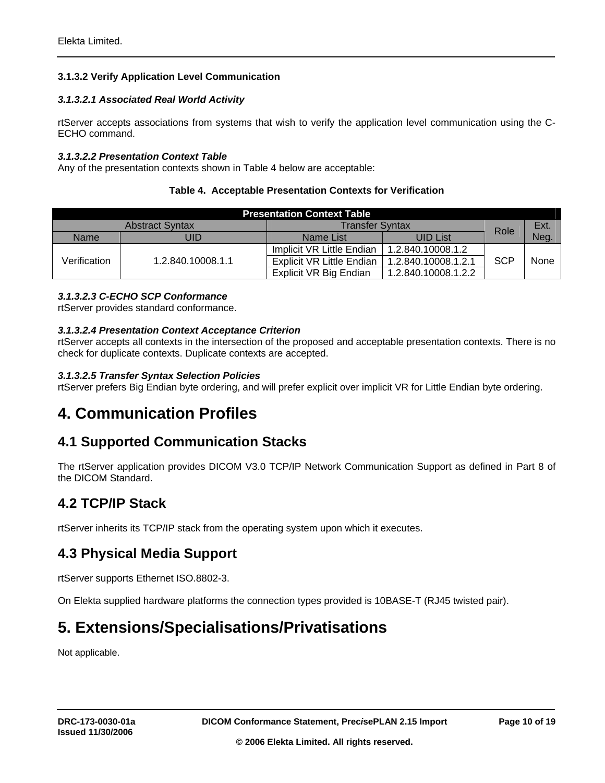### <span id="page-9-0"></span>**3.1.3.2 Verify Application Level Communication**

### *3.1.3.2.1 Associated Real World Activity*

rtServer accepts associations from systems that wish to verify the application level communication using the C-ECHO command.

#### *3.1.3.2.2 Presentation Context Table*

Any of the presentation contexts shown in Table 4 below are acceptable:

### **Table 4. Acceptable Presentation Contexts for Verification**

| <b>Presentation Context Table</b> |                   |                           |                     |            |      |  |  |
|-----------------------------------|-------------------|---------------------------|---------------------|------------|------|--|--|
|                                   | Role              | Ext.                      |                     |            |      |  |  |
| JID<br><b>Name</b>                |                   | Name List                 | <b>UID List</b>     |            | Neg. |  |  |
|                                   | 1.2.840.10008.1.1 | Implicit VR Little Endian | 1.2.840.10008.1.2   |            |      |  |  |
| Verification                      |                   | Explicit VR Little Endian | 1.2.840.10008.1.2.1 | <b>SCP</b> | None |  |  |
|                                   |                   | Explicit VR Big Endian    | 1.2.840.10008.1.2.2 |            |      |  |  |

### *3.1.3.2.3 C-ECHO SCP Conformance*

rtServer provides standard conformance.

### *3.1.3.2.4 Presentation Context Acceptance Criterion*

rtServer accepts all contexts in the intersection of the proposed and acceptable presentation contexts. There is no check for duplicate contexts. Duplicate contexts are accepted.

#### *3.1.3.2.5 Transfer Syntax Selection Policies*

rtServer prefers Big Endian byte ordering, and will prefer explicit over implicit VR for Little Endian byte ordering.

# **4. Communication Profiles**

### **4.1 Supported Communication Stacks**

The rtServer application provides DICOM V3.0 TCP/IP Network Communication Support as defined in Part 8 of the DICOM Standard.

### **4.2 TCP/IP Stack**

rtServer inherits its TCP/IP stack from the operating system upon which it executes.

### **4.3 Physical Media Support**

rtServer supports Ethernet ISO.8802-3.

On Elekta supplied hardware platforms the connection types provided is 10BASE-T (RJ45 twisted pair).

# **5. Extensions/Specialisations/Privatisations**

Not applicable.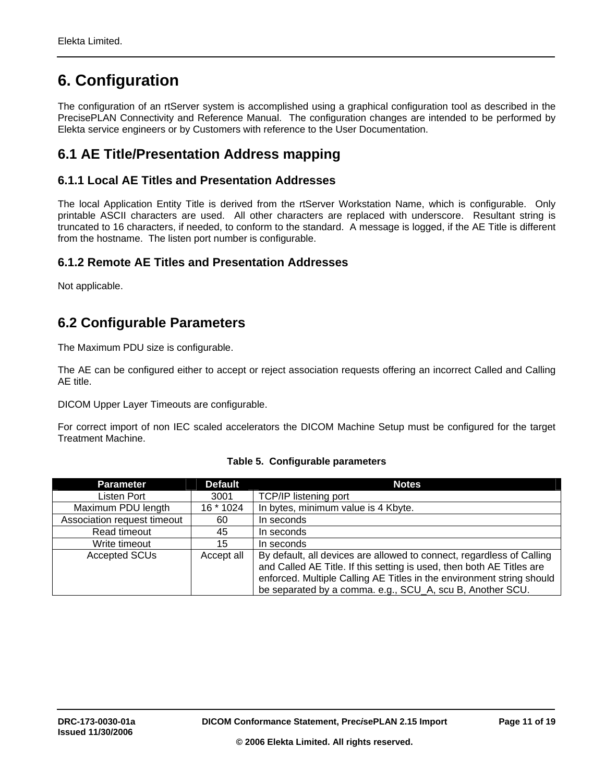# <span id="page-10-0"></span>**6. Configuration**

The configuration of an rtServer system is accomplished using a graphical configuration tool as described in the PrecisePLAN Connectivity and Reference Manual. The configuration changes are intended to be performed by Elekta service engineers or by Customers with reference to the User Documentation.

### **6.1 AE Title/Presentation Address mapping**

### **6.1.1 Local AE Titles and Presentation Addresses**

The local Application Entity Title is derived from the rtServer Workstation Name, which is configurable. Only printable ASCII characters are used. All other characters are replaced with underscore. Resultant string is truncated to 16 characters, if needed, to conform to the standard. A message is logged, if the AE Title is different from the hostname. The listen port number is configurable.

### **6.1.2 Remote AE Titles and Presentation Addresses**

Not applicable.

### **6.2 Configurable Parameters**

The Maximum PDU size is configurable.

The AE can be configured either to accept or reject association requests offering an incorrect Called and Calling AE title.

DICOM Upper Layer Timeouts are configurable.

For correct import of non IEC scaled accelerators the DICOM Machine Setup must be configured for the target Treatment Machine.

| <b>Parameter</b>            | <b>Default</b> | <b>Notes</b>                                                                                                                                                                                                                                                                         |
|-----------------------------|----------------|--------------------------------------------------------------------------------------------------------------------------------------------------------------------------------------------------------------------------------------------------------------------------------------|
| Listen Port                 | 3001           | TCP/IP listening port                                                                                                                                                                                                                                                                |
| Maximum PDU length          | 16 * 1024      | In bytes, minimum value is 4 Kbyte.                                                                                                                                                                                                                                                  |
| Association request timeout | 60             | In seconds                                                                                                                                                                                                                                                                           |
| Read timeout                | 45             | In seconds                                                                                                                                                                                                                                                                           |
| Write timeout               | 15             | In seconds                                                                                                                                                                                                                                                                           |
| <b>Accepted SCUs</b>        | Accept all     | By default, all devices are allowed to connect, regardless of Calling<br>and Called AE Title. If this setting is used, then both AE Titles are<br>enforced. Multiple Calling AE Titles in the environment string should<br>be separated by a comma. e.g., SCU_A, scu B, Another SCU. |

### **Table 5. Configurable parameters**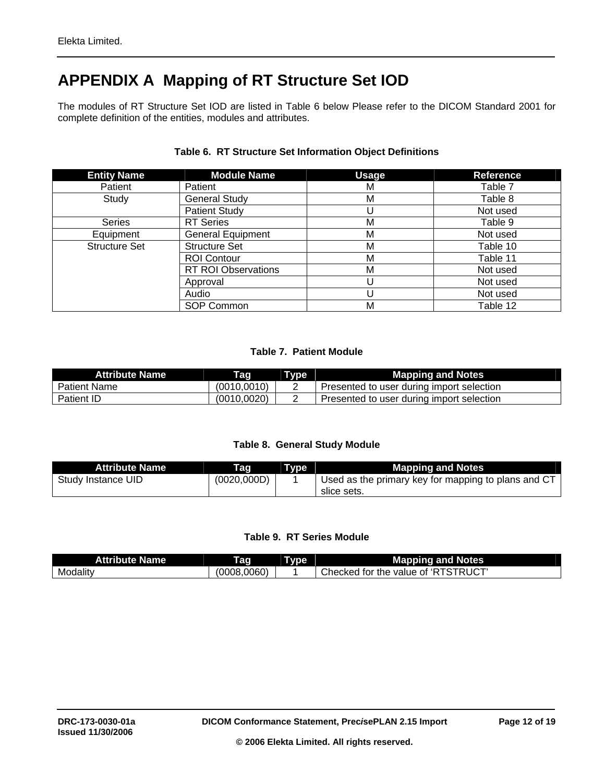# <span id="page-11-0"></span>**APPENDIX A Mapping of RT Structure Set IOD**

The modules of RT Structure Set IOD are listed in Table 6 below Please refer to the DICOM Standard 2001 for complete definition of the entities, modules and attributes.

| <b>Entity Name</b>   | <b>Module Name</b>         | <b>Usage</b> | <b>Reference</b> |
|----------------------|----------------------------|--------------|------------------|
| Patient              | Patient                    | M            | Table 7          |
| Study                | <b>General Study</b>       | M            | Table 8          |
|                      | <b>Patient Study</b>       | U            | Not used         |
| <b>Series</b>        | <b>RT</b> Series           | M            | Table 9          |
| Equipment            | <b>General Equipment</b>   | M            | Not used         |
| <b>Structure Set</b> | <b>Structure Set</b>       | М            | Table 10         |
|                      | <b>ROI Contour</b>         | М            | Table 11         |
|                      | <b>RT ROI Observations</b> | M            | Not used         |
|                      | Approval                   | U            | Not used         |
|                      | Audio                      | U            | Not used         |
|                      | <b>SOP Common</b>          | M            | Table 12         |

### **Table 6. RT Structure Set Information Object Definitions**

### **Table 7. Patient Module**

| <b>Attribute Name</b> | Гаg         | Type | <b>Mapping and Notes</b>                  |
|-----------------------|-------------|------|-------------------------------------------|
| <b>Patient Name</b>   | (0010.0010) |      | Presented to user during import selection |
| Patient ID            | (0010.0020) |      | Presented to user during import selection |

### **Table 8. General Study Module**

| <b>Attribute Name</b> | Taq         | Type | <b>Mapping and Notes</b>                            |
|-----------------------|-------------|------|-----------------------------------------------------|
| Study Instance UID    | (0020,000D) |      | Used as the primary key for mapping to plans and CT |
|                       |             |      | slice sets.                                         |

### **Table 9. RT Series Module**

| Attribute l<br><b>Name</b> | ⊺ag        | vpe<br>. . | <b>Mapping and Notes</b>                                                   |
|----------------------------|------------|------------|----------------------------------------------------------------------------|
| Modality                   | 0008,0060) |            | LIC.T<br>ື<br>.<br><b>Checked</b> *<br>tor<br>the<br>value<br>0T<br>י<br>ີ |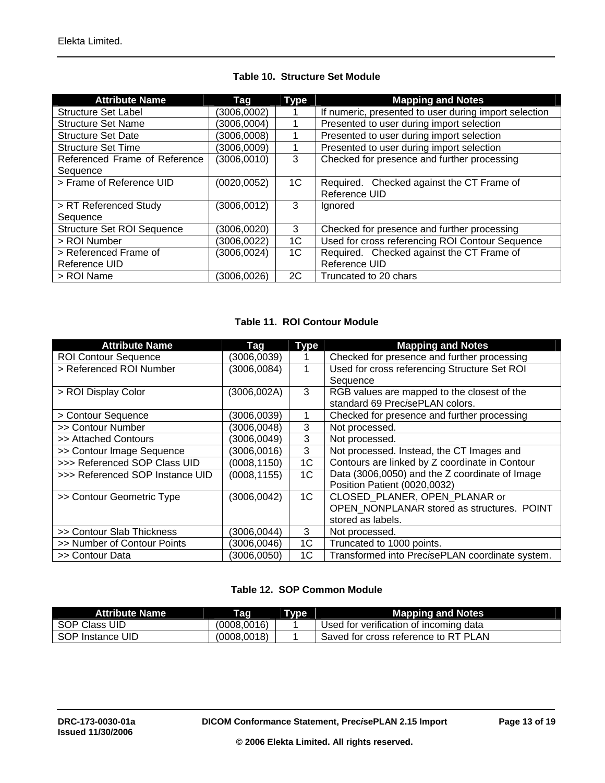### **Table 10. Structure Set Module**

| <b>Attribute Name</b>             | Tag          | Type | <b>Mapping and Notes</b>                              |
|-----------------------------------|--------------|------|-------------------------------------------------------|
| <b>Structure Set Label</b>        | (3006, 0002) |      | If numeric, presented to user during import selection |
| <b>Structure Set Name</b>         | (3006,0004)  |      | Presented to user during import selection             |
| <b>Structure Set Date</b>         | (3006,0008)  |      | Presented to user during import selection             |
| <b>Structure Set Time</b>         | (3006, 0009) |      | Presented to user during import selection             |
| Referenced Frame of Reference     | (3006, 0010) | 3    | Checked for presence and further processing           |
| Sequence                          |              |      |                                                       |
| > Frame of Reference UID          | (0020, 0052) | 1C   | Required. Checked against the CT Frame of             |
|                                   |              |      | Reference UID                                         |
| > RT Referenced Study             | (3006, 0012) | 3    | lgnored                                               |
| Sequence                          |              |      |                                                       |
| <b>Structure Set ROI Sequence</b> | (3006, 0020) | 3    | Checked for presence and further processing           |
| > ROI Number                      | (3006, 0022) | 1C   | Used for cross referencing ROI Contour Sequence       |
| > Referenced Frame of             | (3006, 0024) | 1C   | Required. Checked against the CT Frame of             |
| Reference UID                     |              |      | Reference UID                                         |
| > ROI Name                        | (3006,0026)  | 2C   | Truncated to 20 chars                                 |

### **Table 11. ROI Contour Module**

| <b>Attribute Name</b>           | Tag          | Type | <b>Mapping and Notes</b>                        |
|---------------------------------|--------------|------|-------------------------------------------------|
| <b>ROI Contour Sequence</b>     | (3006, 0039) |      | Checked for presence and further processing     |
| > Referenced ROI Number         | (3006, 0084) | 1    | Used for cross referencing Structure Set ROI    |
|                                 |              |      | Sequence                                        |
| > ROI Display Color             | (3006,002A)  | 3    | RGB values are mapped to the closest of the     |
|                                 |              |      | standard 69 PrecisePLAN colors.                 |
| > Contour Sequence              | (3006, 0039) |      | Checked for presence and further processing     |
| >> Contour Number               | (3006, 0048) | 3    | Not processed.                                  |
| >> Attached Contours            | (3006, 0049) | 3    | Not processed.                                  |
| >> Contour Image Sequence       | (3006, 0016) | 3    | Not processed. Instead, the CT Images and       |
| >>> Referenced SOP Class UID    | (0008, 1150) | 1C   | Contours are linked by Z coordinate in Contour  |
| >>> Referenced SOP Instance UID | (0008, 1155) | 1C   | Data (3006,0050) and the Z coordinate of Image  |
|                                 |              |      | Position Patient (0020,0032)                    |
| >> Contour Geometric Type       | (3006, 0042) | 1C   | CLOSED PLANER, OPEN PLANAR or                   |
|                                 |              |      | OPEN NONPLANAR stored as structures. POINT      |
|                                 |              |      | stored as labels.                               |
| >> Contour Slab Thickness       | (3006,0044)  | 3    | Not processed.                                  |
| >> Number of Contour Points     | (3006, 0046) | 1C   | Truncated to 1000 points.                       |
| >> Contour Data                 | (3006,0050)  | 1C   | Transformed into PrecisePLAN coordinate system. |

### **Table 12. SOP Common Module**

| <b>Attribute Name</b> | Tag          | Type | <b>Mapping and Notes</b>               |
|-----------------------|--------------|------|----------------------------------------|
| SOP Class UID         | (0008.0016)  |      | Used for verification of incoming data |
| SOP Instance UID      | (0008, 0018) |      | Saved for cross reference to RT PLAN   |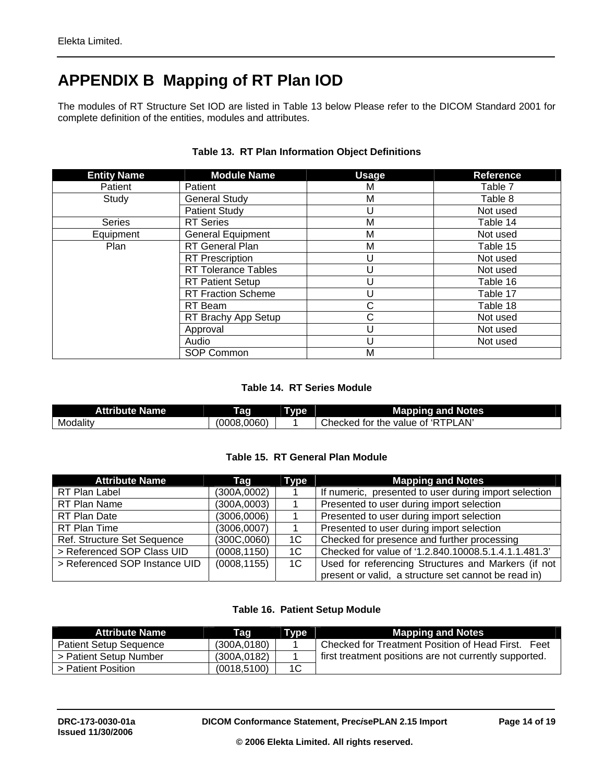# <span id="page-13-0"></span>**APPENDIX B Mapping of RT Plan IOD**

The modules of RT Structure Set IOD are listed in Table 13 below Please refer to the DICOM Standard 2001 for complete definition of the entities, modules and attributes.

| <b>Entity Name</b> | <b>Module Name</b>         | <b>Usage</b> | <b>Reference</b> |
|--------------------|----------------------------|--------------|------------------|
| Patient            | Patient                    | м            | Table 7          |
| Study              | <b>General Study</b>       | М            | Table 8          |
|                    | <b>Patient Study</b>       | U            | Not used         |
| <b>Series</b>      | <b>RT</b> Series           | М            | Table 14         |
| Equipment          | <b>General Equipment</b>   | M            | Not used         |
| Plan               | RT General Plan            | M            | Table 15         |
|                    | <b>RT</b> Prescription     | U            | Not used         |
|                    | <b>RT Tolerance Tables</b> | U            | Not used         |
|                    | <b>RT Patient Setup</b>    | U            | Table 16         |
|                    | <b>RT Fraction Scheme</b>  | U            | Table 17         |
|                    | RT Beam                    | $\mathsf{C}$ | Table 18         |
|                    | RT Brachy App Setup        | C            | Not used         |
|                    | Approval                   | U            | Not used         |
|                    | Audio                      | U            | Not used         |
|                    | <b>SOP Common</b>          | M            |                  |

### **Table 13. RT Plan Information Object Definitions**

### **Table 14. RT Series Module**

| <b>Name</b> | lag         | <b>Type</b> | ' Notes                                                      |
|-------------|-------------|-------------|--------------------------------------------------------------|
| Attribute   |             | . .         | Mapping and                                                  |
| Modality    | (0008,0060) |             | ∟AN'<br>ום־<br>٠R<br>* hecked:ت<br>tor<br>the<br>value<br>Οt |

### **Table 15. RT General Plan Module**

| <b>Attribute Name</b>         | Tag          | Type | <b>Mapping and Notes</b>                              |  |
|-------------------------------|--------------|------|-------------------------------------------------------|--|
| RT Plan Label                 | (300A, 0002) |      | If numeric, presented to user during import selection |  |
| RT Plan Name                  | (300A, 0003) |      | Presented to user during import selection             |  |
| RT Plan Date                  | (3006,0006)  |      | Presented to user during import selection             |  |
| RT Plan Time                  | (3006,0007)  |      | Presented to user during import selection             |  |
| Ref. Structure Set Sequence   | (300C, 0060) | 1C   | Checked for presence and further processing           |  |
| > Referenced SOP Class UID    | (0008, 1150) | 1C   | Checked for value of '1.2.840.10008.5.1.4.1.1.481.3'  |  |
| > Referenced SOP Instance UID | (0008, 1155) | 1C   | Used for referencing Structures and Markers (if not   |  |
|                               |              |      | present or valid, a structure set cannot be read in)  |  |

### **Table 16. Patient Setup Module**

| <b>Attribute Name</b>         | Taq         | Type | <b>Mapping and Notes</b>                               |
|-------------------------------|-------------|------|--------------------------------------------------------|
| <b>Patient Setup Sequence</b> | (300A.0180) |      | Checked for Treatment Position of Head First.<br>Feet  |
| > Patient Setup Number        | (300A.0182) |      | first treatment positions are not currently supported. |
| > Patient Position            | (0018.5100) | 1C   |                                                        |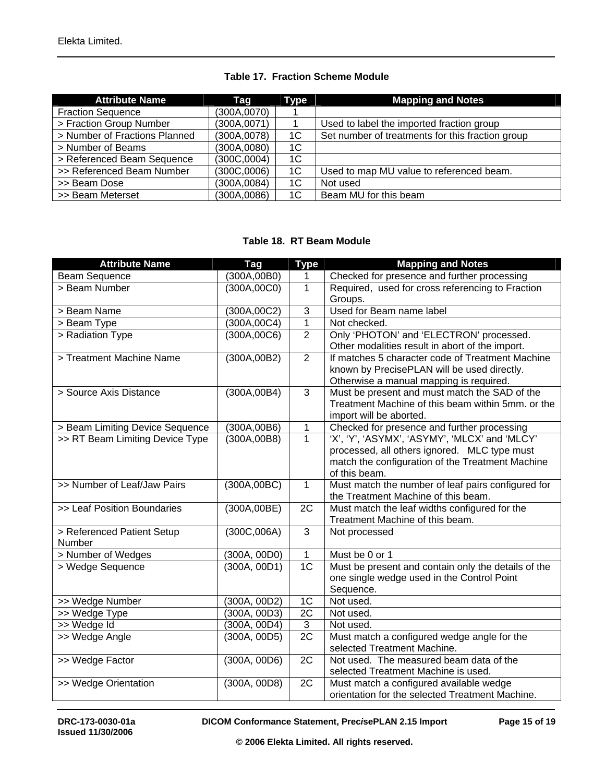| Table 17. Fraction Scheme Module |  |  |  |  |
|----------------------------------|--|--|--|--|
|----------------------------------|--|--|--|--|

| <b>Attribute Name</b>         | Tag          | Type | <b>Mapping and Notes</b>                         |
|-------------------------------|--------------|------|--------------------------------------------------|
| <b>Fraction Sequence</b>      | (300A, 0070) |      |                                                  |
| > Fraction Group Number       | (300A, 0071) |      | Used to label the imported fraction group        |
| > Number of Fractions Planned | (300A, 0078) | 1C   | Set number of treatments for this fraction group |
| > Number of Beams             | (300A, 0080) | 1C   |                                                  |
| > Referenced Beam Sequence    | (300C,0004)  | 1C   |                                                  |
| >> Referenced Beam Number     | (300C,0006)  | 1C   | Used to map MU value to referenced beam.         |
| >> Beam Dose                  | (300A, 0084) | 1C   | Not used                                         |
| >> Beam Meterset              | (300A, 0086) | 1C   | Beam MU for this beam                            |

### **Table 18. RT Beam Module**

| <b>Attribute Name</b>           | Tag          | <b>Type</b>     | <b>Mapping and Notes</b>                            |
|---------------------------------|--------------|-----------------|-----------------------------------------------------|
| <b>Beam Sequence</b>            | (300A,00B0)  | 1               | Checked for presence and further processing         |
| > Beam Number                   | (300A, 00C0) | $\mathbf{1}$    | Required, used for cross referencing to Fraction    |
|                                 |              |                 | Groups.                                             |
| > Beam Name                     | (300A, 00C2) | $\overline{3}$  | Used for Beam name label                            |
| > Beam Type                     | (300A, 00C4) | $\overline{1}$  | Not checked.                                        |
| > Radiation Type                | (300A, 00C6) | $\overline{2}$  | Only 'PHOTON' and 'ELECTRON' processed.             |
|                                 |              |                 | Other modalities result in abort of the import.     |
| > Treatment Machine Name        | (300A,00B2)  | $\overline{2}$  | If matches 5 character code of Treatment Machine    |
|                                 |              |                 | known by PrecisePLAN will be used directly.         |
|                                 |              |                 | Otherwise a manual mapping is required.             |
| > Source Axis Distance          | (300A, 00B4) | $\overline{3}$  | Must be present and must match the SAD of the       |
|                                 |              |                 | Treatment Machine of this beam within 5mm. or the   |
|                                 |              |                 | import will be aborted.                             |
| > Beam Limiting Device Sequence | (300A,00B6)  | $\mathbf 1$     | Checked for presence and further processing         |
| >> RT Beam Limiting Device Type | (300A,00B8)  | $\mathbf{1}$    | 'X', 'Y', 'ASYMX', 'ASYMY', 'MLCX' and 'MLCY'       |
|                                 |              |                 | processed, all others ignored. MLC type must        |
|                                 |              |                 | match the configuration of the Treatment Machine    |
|                                 |              |                 | of this beam.                                       |
| >> Number of Leaf/Jaw Pairs     | (300A, 00BC) | $\overline{1}$  | Must match the number of leaf pairs configured for  |
|                                 |              |                 | the Treatment Machine of this beam.                 |
| >> Leaf Position Boundaries     | (300A,00BE)  | $\overline{2C}$ | Must match the leaf widths configured for the       |
|                                 |              |                 | Treatment Machine of this beam.                     |
| > Referenced Patient Setup      | (300C, 006A) | $\overline{3}$  | Not processed                                       |
| Number                          |              |                 |                                                     |
| > Number of Wedges              | (300A, 00D0) | $\mathbf{1}$    | Must be 0 or 1                                      |
| > Wedge Sequence                | (300A, 00D1) | 1 <sub>C</sub>  | Must be present and contain only the details of the |
|                                 |              |                 | one single wedge used in the Control Point          |
|                                 |              |                 | Sequence.                                           |
| >> Wedge Number                 | (300A, 00D2) | 1 <sup>C</sup>  | Not used.                                           |
| >> Wedge Type                   | (300A, 00D3) | 2C              | Not used.                                           |
| >> Wedge Id                     | (300A, 00D4) | $\mathbf{3}$    | Not used.                                           |
| >> Wedge Angle                  | (300A, 00D5) | 2C              | Must match a configured wedge angle for the         |
|                                 |              |                 | selected Treatment Machine.                         |
| >> Wedge Factor                 | (300A, 00D6) | 2C              | Not used. The measured beam data of the             |
|                                 |              |                 | selected Treatment Machine is used.                 |
| >> Wedge Orientation            | (300A, 00D8) | 2C              | Must match a configured available wedge             |
|                                 |              |                 | orientation for the selected Treatment Machine.     |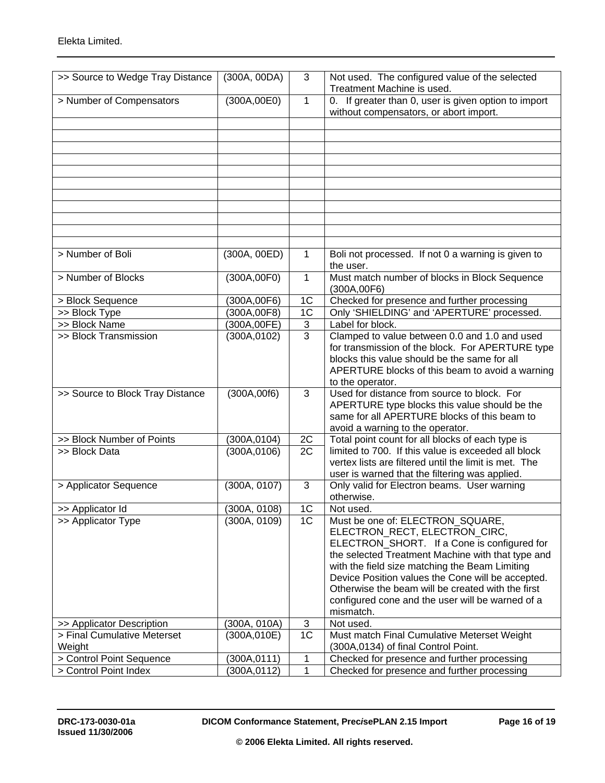| >> Source to Wedge Tray Distance | (300A, 00DA) | 3               | Not used. The configured value of the selected<br>Treatment Machine is used.                    |
|----------------------------------|--------------|-----------------|-------------------------------------------------------------------------------------------------|
| > Number of Compensators         | (300A,00E0)  | 1               | 0. If greater than 0, user is given option to import<br>without compensators, or abort import.  |
|                                  |              |                 |                                                                                                 |
|                                  |              |                 |                                                                                                 |
|                                  |              |                 |                                                                                                 |
|                                  |              |                 |                                                                                                 |
|                                  |              |                 |                                                                                                 |
|                                  |              |                 |                                                                                                 |
|                                  |              |                 |                                                                                                 |
|                                  |              |                 |                                                                                                 |
|                                  |              |                 |                                                                                                 |
|                                  |              |                 |                                                                                                 |
| > Number of Boli                 | (300A, 00ED) | $\mathbf{1}$    | Boli not processed. If not 0 a warning is given to<br>the user.                                 |
| > Number of Blocks               | (300A,00F0)  | 1               | Must match number of blocks in Block Sequence<br>(300A,00F6)                                    |
| > Block Sequence                 | (300A,00F6)  | 1 <sup>C</sup>  | Checked for presence and further processing                                                     |
| >> Block Type                    | (300A,00F8)  | 1C              | Only 'SHIELDING' and 'APERTURE' processed.                                                      |
| >> Block Name                    | (300A,00FE)  | 3               | Label for block.                                                                                |
| >> Block Transmission            | (300A, 0102) | $\overline{3}$  | Clamped to value between 0.0 and 1.0 and used                                                   |
|                                  |              |                 | for transmission of the block. For APERTURE type                                                |
|                                  |              |                 | blocks this value should be the same for all<br>APERTURE blocks of this beam to avoid a warning |
|                                  |              |                 | to the operator.                                                                                |
| >> Source to Block Tray Distance | (300A, 00f6) | 3               | Used for distance from source to block. For                                                     |
|                                  |              |                 | APERTURE type blocks this value should be the                                                   |
|                                  |              |                 | same for all APERTURE blocks of this beam to                                                    |
|                                  |              |                 | avoid a warning to the operator.                                                                |
| >> Block Number of Points        | (300A, 0104) | 2C              | Total point count for all blocks of each type is                                                |
| >> Block Data                    | (300A, 0106) | $\overline{2C}$ | limited to 700. If this value is exceeded all block                                             |
|                                  |              |                 | vertex lists are filtered until the limit is met. The                                           |
|                                  |              | 3               | user is warned that the filtering was applied.                                                  |
| > Applicator Sequence            | (300A, 0107) |                 | Only valid for Electron beams. User warning<br>otherwise.                                       |
| >> Applicator Id                 | (300A, 0108) | $1C$            | Not used.                                                                                       |
| >> Applicator Type               | (300A, 0109) | 1C              | Must be one of: ELECTRON_SQUARE,                                                                |
|                                  |              |                 | ELECTRON_RECT, ELECTRON_CIRC,                                                                   |
|                                  |              |                 | ELECTRON_SHORT. If a Cone is configured for                                                     |
|                                  |              |                 | the selected Treatment Machine with that type and                                               |
|                                  |              |                 | with the field size matching the Beam Limiting                                                  |
|                                  |              |                 | Device Position values the Cone will be accepted.                                               |
|                                  |              |                 | Otherwise the beam will be created with the first                                               |
|                                  |              |                 | configured cone and the user will be warned of a                                                |
| >> Applicator Description        | (300A, 010A) | $\sqrt{3}$      | mismatch.<br>Not used.                                                                          |
| > Final Cumulative Meterset      | (300A,010E)  | 1 <sub>C</sub>  | Must match Final Cumulative Meterset Weight                                                     |
| Weight                           |              |                 | (300A,0134) of final Control Point.                                                             |
| > Control Point Sequence         | (300A, 0111) | 1               | Checked for presence and further processing                                                     |
| > Control Point Index            | (300A, 0112) | 1               | Checked for presence and further processing                                                     |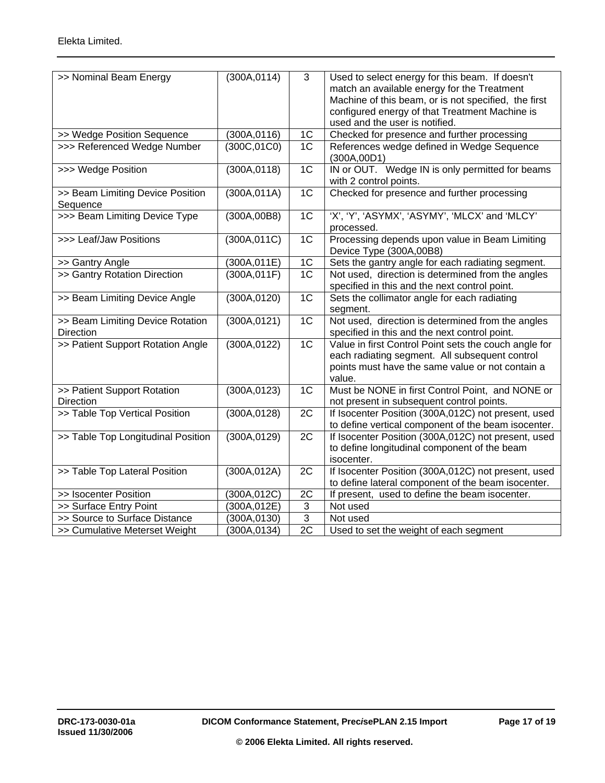| >> Nominal Beam Energy                       | (300A, 0114) | $\overline{3}$                    | Used to select energy for this beam. If doesn't                                                            |
|----------------------------------------------|--------------|-----------------------------------|------------------------------------------------------------------------------------------------------------|
|                                              |              |                                   | match an available energy for the Treatment                                                                |
|                                              |              |                                   | Machine of this beam, or is not specified, the first                                                       |
|                                              |              |                                   | configured energy of that Treatment Machine is                                                             |
|                                              |              |                                   | used and the user is notified.                                                                             |
| >> Wedge Position Sequence                   | (300A, 0116) | 1 <sub>C</sub><br>$\overline{1C}$ | Checked for presence and further processing                                                                |
| >>> Referenced Wedge Number                  | (300C, 01C0) |                                   | References wedge defined in Wedge Sequence<br>(300A, 00D1)                                                 |
| >>> Wedge Position                           | (300A, 0118) | 1 <sup>C</sup>                    | IN or OUT. Wedge IN is only permitted for beams<br>with 2 control points.                                  |
| >> Beam Limiting Device Position<br>Sequence | (300A, 011A) | 1C                                | Checked for presence and further processing                                                                |
| >>> Beam Limiting Device Type                | (300A, 00B8) | 1 <sub>C</sub>                    | 'X', 'Y', 'ASYMX', 'ASYMY', 'MLCX' and 'MLCY'<br>processed.                                                |
| >>> Leaf/Jaw Positions                       | (300A, 011C) | 1C                                | Processing depends upon value in Beam Limiting<br>Device Type (300A,00B8)                                  |
| >> Gantry Angle                              | (300A, 011E) | 1 <sup>C</sup>                    | Sets the gantry angle for each radiating segment.                                                          |
| >> Gantry Rotation Direction                 | (300A, 011F) | $\overline{1C}$                   | Not used, direction is determined from the angles                                                          |
|                                              |              |                                   | specified in this and the next control point.                                                              |
| >> Beam Limiting Device Angle                | (300A, 0120) | 1C                                | Sets the collimator angle for each radiating                                                               |
|                                              |              |                                   | segment.                                                                                                   |
| >> Beam Limiting Device Rotation             | (300A, 0121) | 1C                                | Not used, direction is determined from the angles                                                          |
| <b>Direction</b>                             |              |                                   | specified in this and the next control point.                                                              |
| >> Patient Support Rotation Angle            | (300A, 0122) | 1C                                | Value in first Control Point sets the couch angle for                                                      |
|                                              |              |                                   | each radiating segment. All subsequent control                                                             |
|                                              |              |                                   | points must have the same value or not contain a                                                           |
|                                              |              |                                   | value.                                                                                                     |
| >> Patient Support Rotation                  | (300A, 0123) | 1C                                | Must be NONE in first Control Point, and NONE or                                                           |
| <b>Direction</b>                             |              |                                   | not present in subsequent control points.                                                                  |
| >> Table Top Vertical Position               | (300A, 0128) | 2C                                | If Isocenter Position (300A,012C) not present, used<br>to define vertical component of the beam isocenter. |
| >> Table Top Longitudinal Position           | (300A, 0129) | 2C                                | If Isocenter Position (300A,012C) not present, used                                                        |
|                                              |              |                                   | to define longitudinal component of the beam                                                               |
|                                              |              |                                   | isocenter.                                                                                                 |
| >> Table Top Lateral Position                | (300A, 012A) | 2C                                | If Isocenter Position (300A,012C) not present, used                                                        |
|                                              |              |                                   | to define lateral component of the beam isocenter.                                                         |
| >> Isocenter Position                        | (300A,012C)  | 2C                                | If present, used to define the beam isocenter.                                                             |
| >> Surface Entry Point                       | (300A,012E)  | 3                                 | Not used                                                                                                   |
| >> Source to Surface Distance                | (300A, 0130) | $\overline{3}$                    | Not used                                                                                                   |
| >> Cumulative Meterset Weight                | (300A, 0134) | $\overline{2C}$                   | Used to set the weight of each segment                                                                     |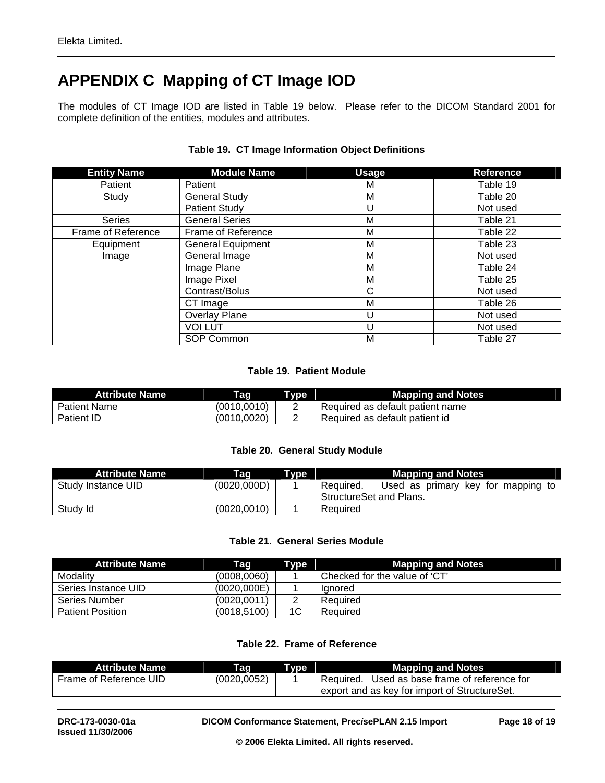# <span id="page-17-0"></span>**APPENDIX C Mapping of CT Image IOD**

The modules of CT Image IOD are listed in Table 19 below. Please refer to the DICOM Standard 2001 for complete definition of the entities, modules and attributes.

| <b>Entity Name</b> | <b>Module Name</b>       | <b>Usage</b> | <b>Reference</b> |
|--------------------|--------------------------|--------------|------------------|
| Patient            | Patient                  | м            | Table 19         |
| Study              | <b>General Study</b>     | M            | Table 20         |
|                    | <b>Patient Study</b>     | U            | Not used         |
| <b>Series</b>      | <b>General Series</b>    | M            | Table 21         |
| Frame of Reference | Frame of Reference       | М            | Table 22         |
| Equipment          | <b>General Equipment</b> | M            | Table 23         |
| Image              | General Image            | M            | Not used         |
|                    | Image Plane              | M            | Table 24         |
|                    | Image Pixel              | M            | Table 25         |
|                    | Contrast/Bolus           | C            | Not used         |
|                    | CT Image                 | M            | Table 26         |
|                    | <b>Overlay Plane</b>     | U            | Not used         |
|                    | <b>VOI LUT</b>           | U            | Not used         |
|                    | <b>SOP Common</b>        | M            | Table 27         |

### **Table 19. CT Image Information Object Definitions**

### **Table 19. Patient Module**

| <b>Attribute Name</b> | Tag         | Type | <b>Mapping and Notes</b>         |
|-----------------------|-------------|------|----------------------------------|
| <b>Patient Name</b>   | (0010.0010) |      | Required as default patient name |
| Patient ID            | (0010.0020) | -    | Required as default patient id   |

#### **Table 20. General Study Module**

| <b>Attribute Name</b> | Taq          | Type | <b>Mapping and Notes</b>                                                      |
|-----------------------|--------------|------|-------------------------------------------------------------------------------|
| Study Instance UID    | (0020,000D)  |      | Used as primary key for mapping<br>Required.<br>to<br>StructureSet and Plans. |
| Study Id              | (0020, 0010) |      | Required                                                                      |

#### **Table 21. General Series Module**

| <b>Attribute Name</b>   | Taq          | Type | <b>Mapping and Notes</b>      |
|-------------------------|--------------|------|-------------------------------|
| Modality                | (0008, 0060) |      | Checked for the value of 'CT' |
| Series Instance UID     | (0020.000E)  |      | Ignored                       |
| Series Number           | (0020.0011)  |      | Required                      |
| <b>Patient Position</b> | (0018, 5100) | 1C   | Required                      |

### **Table 22. Frame of Reference**

| <b>Attribute Name</b>  | Taq          | Type. | <b>Mapping and Notes</b>                         |
|------------------------|--------------|-------|--------------------------------------------------|
| Frame of Reference UID | (0020, 0052) |       | Used as base frame of reference for<br>Required. |
|                        |              |       | export and as key for import of StructureSet.    |